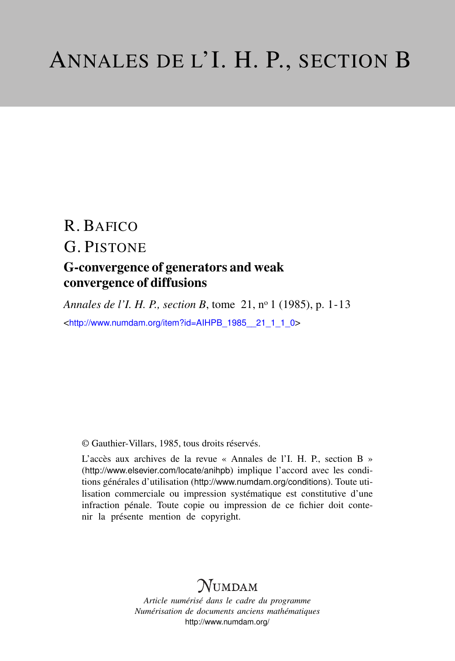# R. BAFICO G. PISTONE G-convergence of generators and weak convergence of diffusions

*Annales de l'I. H. P., section B, tome 21, nº 1 (1985), p. 1-13* <[http://www.numdam.org/item?id=AIHPB\\_1985\\_\\_21\\_1\\_1\\_0](http://www.numdam.org/item?id=AIHPB_1985__21_1_1_0)>

© Gauthier-Villars, 1985, tous droits réservés.

L'accès aux archives de la revue « Annales de l'I. H. P., section B » (<http://www.elsevier.com/locate/anihpb>) implique l'accord avec les conditions générales d'utilisation (<http://www.numdam.org/conditions>). Toute utilisation commerciale ou impression systématique est constitutive d'une infraction pénale. Toute copie ou impression de ce fichier doit contenir la présente mention de copyright.

## **NUMDAM**

*Article numérisé dans le cadre du programme Numérisation de documents anciens mathématiques* <http://www.numdam.org/>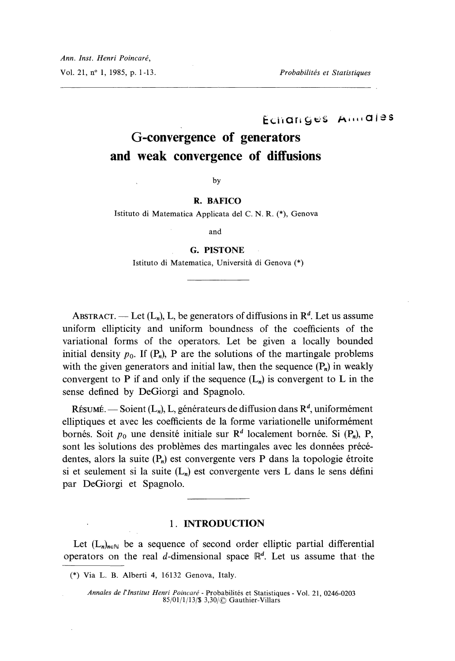Ann. Inst. Henri Poincaré,

Vol. 21, n° 1, 1985, p. 1-13. Probabilités et Statistiques

Echanges Almales

## G-convergence of generators and weak convergence of diffusions

 $by$ 

#### R. BAFICO

Istituto di Matematica Applicata del C. N. R. (\*), Genova

and

#### G. PISTONE

Istituto di Matematica, Universita di Genova (\*)

ABSTRACT. — Let  $(L_n)$ , L, be generators of diffusions in  $\mathbb{R}^d$ . Let us assume uniform ellipticity and uniform boundness of the coefficients of the variational forms of the operators. Let be given a locally bounded initial density  $p_0$ . If  $(P_n)$ , P are the solutions of the martingale problems with the given generators and initial law, then the sequence  $(P_n)$  in weakly convergent to P if and only if the sequence  $(L_n)$  is convergent to L in the sense defined by DeGiorgi and Spagnolo.

RÉSUMÉ. — Soient  $(L_n)$ , L, générateurs de diffusion dans  $R^d$ , uniformément elliptiques et avec les coefficients de la forme variationelle uniformément bornés. Soit  $p_0$  une densité initiale sur  $\mathbb{R}^d$  localement bornée. Si  $(P_n)$ , P, sont les solutions des problèmes des martingales avec les données précédentes, alors la suite  $(P_n)$  est convergente vers P dans la topologie étroite si et seulement si la suite  $(L_n)$  est convergente vers L dans le sens défini par DeGiorgi et Spagnolo.

### . 1. INTRODUCTION

Let  $(L_n)_{n \in \mathbb{N}}$  be a sequence of second order elliptic partial differential operators on the real d-dimensional space  $\mathbb{R}^d$ . Let us assume that the

<sup>(\*)</sup> Via L. B. Alberti 4, 16132 Genova, Italy.

Annales de l'Institut Henri Poincaré - Probabilités et Statistiques - Vol. 21, 0246-0203 85/01/1/13/\$ 3,30/(0 Gauthier-Villars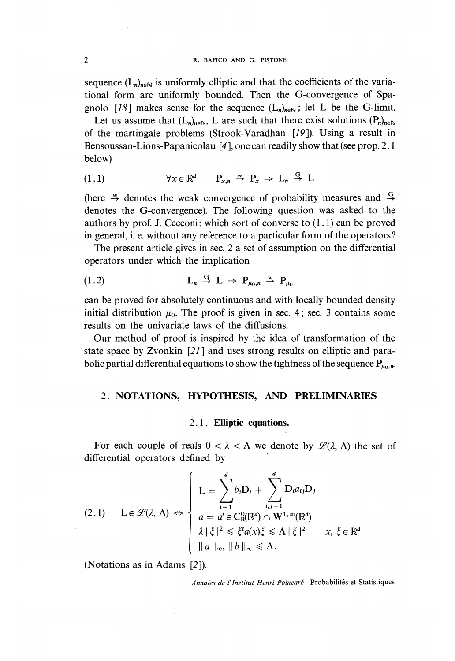sequence  $(L_n)_{n \in \mathbb{N}}$  is uniformly elliptic and that the coefficients of the variational form are uniformly bounded. Then the G-convergence of Spagnolo [18] makes sense for the sequence  $(L_n)_{n\in\mathbb{N}}$ ; let L be the G-limit.

Let us assume that  $(L_n)_{n \in \mathbb{N}}$ , L are such that there exist solutions  $(P_n)_{n \in \mathbb{N}}$ of the martingale problems (Strook-Varadhan [19 ]). Using a result in Bensoussan-Lions-Papanicolau [4 ], one can readily show that (see prop. 2.1 below)

$$
(1.1) \qquad \forall x \in \mathbb{R}^d \qquad P_{x,n} \stackrel{w}{\to} P_x \Rightarrow L_n \stackrel{G}{\to} L
$$

(here  $\stackrel{w}{\rightarrow}$  denotes the weak convergence of probability measures and  $\stackrel{G}{\rightarrow}$ denotes the G-convergence). The following question was asked to the authors by prof. J. Cecconi: which sort of converse to  $(1.1)$  can be proved in general, i. e. without any reference to a particular form of the operators ?

The present article gives in sec. 2 a set of assumption on the differential operators under which the implication

$$
L_n \stackrel{G}{\rightarrow} L \Rightarrow P_{\mu_0,n} \stackrel{w}{\rightarrow} P_{\mu_0}
$$

can be proved for absolutely continuous and with locally bounded density initial distribution  $\mu_0$ . The proof is given in sec. 4; sec. 3 contains some results on the univariate laws of the diffusions.

Our method of proof is inspired by the idea of transformation of the state space by Zvonkin [21] and uses strong results on elliptic and parabolic partial differential equations to show the tightness of the sequence  $P_{\mu_0,\mu}$ 

## 2. NOTATIONS, HYPOTHESIS, AND PRELIMINARIES

#### 21. Elliptic equations.

For each couple of reals  $0 < \lambda < \Lambda$  we denote by  $\mathscr{L}(\lambda, \Lambda)$  the set of differential operators defined by

$$
(2.1) \quad L \in \mathcal{L}(\lambda, \Lambda) \Leftrightarrow \begin{cases} L = \sum_{i=1}^{d} b_i D_i + \sum_{i,j=1}^{d} D_i a_{ij} D_j \\ a = a^t \in C_{\mathcal{B}}^0(\mathbb{R}^d) \cap W^{1,\infty}(\mathbb{R}^d) \\ \lambda \mid \xi \mid^2 \leq \xi^t a(x) \xi \leq \Lambda \mid \xi \mid^2 \qquad x, \xi \in \mathbb{R}^d \\ \|a\|_{\infty}, \|b\|_{\infty} \leq \Lambda. \end{cases}
$$

(Notations as in Adams [2 ]).

, Annales de l'lnstitut Henri Poincaré - probabilités et Statistiques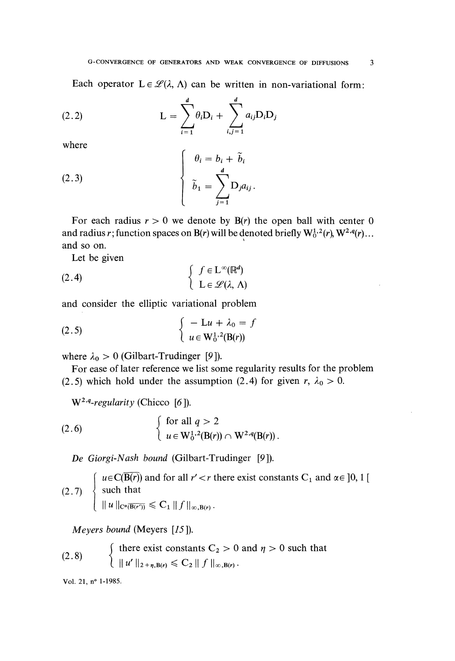Each operator  $L \in \mathcal{L}(\lambda, \Lambda)$  can be written in non-variational form:

(2.2) 
$$
L = \sum_{i=1}^{d} \theta_i D_i + \sum_{i,j=1}^{d} a_{ij} D_i D_j
$$

where

(2.3)

\n
$$
\begin{cases}\n\theta_i = b_i + \tilde{b}_i \\
\tilde{b}_1 = \sum_{j=1}^d D_j a_{ij}.\n\end{cases}
$$

For each radius  $r > 0$  we denote by  $B(r)$  the open ball with center 0 and radius r; function spaces on B(r) will be denoted briefly  $W_0^{1,2}(r)$ ,  $W^{2,q}(r)$ ... and so on. '

Let be given

(2.4) 
$$
\begin{cases} f \in L^{\infty}(\mathbb{R}^{d}) \\ L \in \mathscr{L}(\lambda, \Lambda) \end{cases}
$$

and consider the elliptic variational problem

(2.5) 
$$
\begin{cases} -\mathbf{L}u + \lambda_0 = f \\ u \in \mathbf{W}_0^{1,2}(\mathbf{B}(r)) \end{cases}
$$

where  $\lambda_0 > 0$  (Gilbart-Trudinger [9]).

For ease of later reference we list some regularity results for the problem (2.5) which hold under the assumption (2.4) for given r,  $\lambda_0 > 0$ .

 $W^{2,q}$ -regularity (Chicco [6]).

(2.6) 
$$
\begin{cases} \text{for all } q > 2 \\ u \in \mathbb{W}_0^{1,2}(\mathbb{B}(r)) \cap \mathbb{W}^{2,q}(\mathbb{B}(r)) \,. \end{cases}
$$

De Giorgi-Nash bound (Gilbart-Trudinger  $[9]$ ).

(2.7)  $\begin{cases} u \in C(\overline{B(r)}) \text{ and for all } r' < r \text{ there exist constants } C_1 \text{ and } \alpha \in ]0, 1[$ <br>  $\|u\|_{C^{\alpha}(\overline{B(r'))}} \leq C_1 \|f\|_{\infty, B(r)}. \end{cases}$ 

Meyers bound (Meyers [15 ]).

(2.8) 
$$
\begin{cases} \text{there exist constants } C_2 > 0 \text{ and } \eta > 0 \text{ such that} \\ \|u'\|_{2+\eta, B(r)} \leq C_2 \|f\|_{\infty, B(r)} . \end{cases}
$$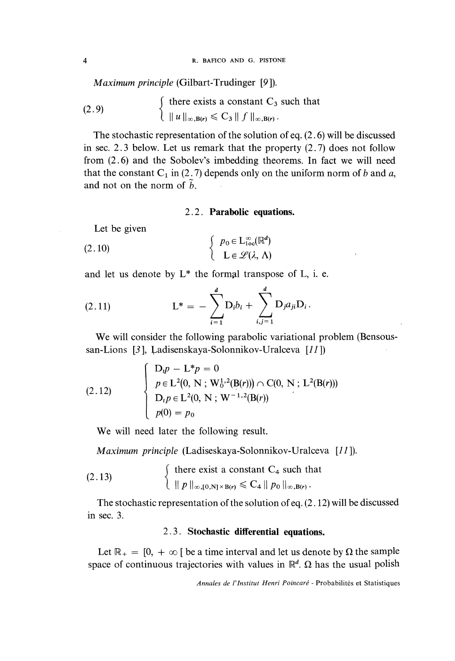$Maximum\ principle$  (Gilbart-Trudinger [9]).

(2.9) 
$$
\begin{cases} \text{there exists a constant } C_3 \text{ such that} \\ \|u\|_{\infty, B(r)} \leq C_3 \|f\|_{\infty, B(r)} . \end{cases}
$$

The stochastic representation of the solution of eq. (2. 6) will be discussed in sec. 2.3 below. Let us remark that the property (2.7) does not follow from (2.6) and the Sobolev's imbedding theorems. In fact we will need that the constant C<sub>1</sub> in (2.7) depends only on the uniform norm of b and a, and not on the norm of  $\tilde{h}$ 

#### 2.2. Parabolic equations.

Let be given

(2.10) 
$$
\begin{cases} p_0 \in L^{\infty}_{loc}(\mathbb{R}^d) \\ L \in \mathscr{L}(\lambda, \Lambda) \end{cases}
$$

and let us denote by  $L^*$  the formal transpose of L, i. e.

(2.11) 
$$
L^* = -\sum_{i=1}^d D_i b_i + \sum_{i,j=1}^d D_j a_{ji} D_i.
$$

We will consider the following parabolic variational problem (Bensoussan-Lions [3], Ladisenskaya-Solonnikov-Uralceva [11])

(2.12) 
$$
\left\{\n\begin{array}{l}\nD_t p - L^* p = 0 \\
p \in L^2(0, N; W_0^{1,2}(B(r))) \cap C(0, N; L^2(B(r))) \\
D_t p \in L^2(0, N; W^{-1,2}(B(r)) \\
p(0) = p_0\n\end{array}\n\right.
$$

We will need later the following result.

Maximum principle (Ladiseskaya-Solonnikov-Uralceva [11 ]).

(2.13) 
$$
\begin{cases} \text{there exist a constant } C_4 \text{ such that} \\ \|p\|_{\infty, [0,N] \times B(r)} \leq C_4 \|p_0\|_{\infty, B(r)} .\end{cases}
$$

The stochastic representation of the solution of eq. (2.12) will be discussed in sec. 3.

## 2.3. Stochastic differential equations.

Let  $\mathbb{R}_{+} = [0, +\infty)$  be a time interval and let us denote by  $\Omega$  the sample space of continuous trajectories with values in  $\mathbb{R}^d$ .  $\Omega$  has the usual polish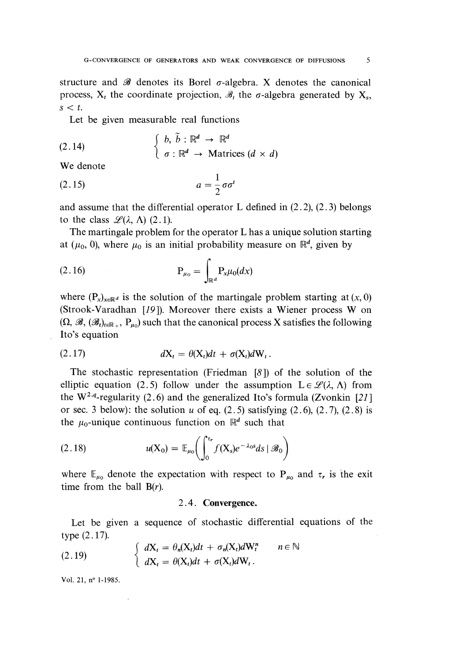structure and  $\mathscr B$  denotes its Borel  $\sigma$ -algebra. X denotes the canonical process,  $X_t$  the coordinate projection,  $\mathcal{B}_t$ , the  $\sigma$ -algebra generated by  $X_s$ ,  $s < t$ .

Let be given measurable real functions

(2.14) 
$$
\begin{cases} b, \tilde{b} : \mathbb{R}^d \to \mathbb{R}^d \\ \sigma : \mathbb{R}^d \to \text{Matrices } (d \times d) \end{cases}
$$

We denote

$$
(2.15) \t\t a = \frac{1}{2}\sigma\sigma^1
$$

and assume that the differential operator L defined in  $(2.2)$ ,  $(2.3)$  belongs to the class  $\mathscr{L}(\lambda, \Lambda)$  (2.1).

The martingale problem for the operator L has a unique solution starting at ( $\mu_0$ , 0), where  $\mu_0$  is an initial probability measure on  $\mathbb{R}^d$ , given by

$$
P_{\mu_0} = \int_{\mathbb{R}^d} P_x \mu_0(dx)
$$

where  $(P_x)_{x \in \mathbb{R}^d}$  is the solution of the martingale problem starting at  $(x, 0)$ (Strook-Varadhan [19 ]). Moreover there exists a Wiener process W on  $(\Omega, \mathscr{B}, (\mathscr{B}_t)_{t \in \mathbb{R}_+}, P_{u_0})$  such that the canonical process X satisfies the following Ito's equation

$$
dX_t = \theta(X_t)dt + \sigma(X_t)dW_t.
$$

The stochastic representation (Friedman [8 ]) of the solution of the elliptic equation (2.5) follow under the assumption  $L \in \mathcal{L}(\lambda, \Lambda)$  from the W<sup>2,q</sup>-regularity (2.6) and the generalized Ito's formula (Zvonkin [21] or sec. 3 below): the solution u of eq.  $(2.5)$  satisfying  $(2.6)$ ,  $(2.7)$ ,  $(2.8)$  is the  $\mu_0$ -unique continuous function on  $\mathbb{R}^d$  such that

(2.18) 
$$
u(X_0) = \mathbb{E}_{\mu_0}\bigg(\int_0^{\tau_r} f(X_s) e^{-\lambda_0 s} ds \mid \mathcal{B}_0\bigg)
$$

where  $\mathbb{E}_{\mu_0}$  denote the expectation with respect to  $P_{\mu_0}$  and  $\tau_r$  is the exit time from the ball  $B(r)$ .

#### 2.4. Convergence.

Let be given a sequence of stochastic differential equations of the type  $(2.17)$ .

(2.19) 
$$
\begin{cases} dX_t = \theta_n(X_t)dt + \sigma_n(X_t)dW_t^n & n \in \mathbb{N} \\ dX_t = \theta(X_t)dt + \sigma(X_t)dW_t. \end{cases}
$$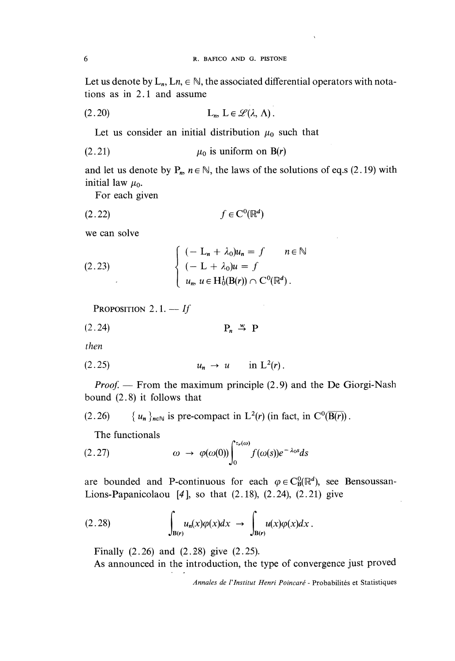Let us denote by  $L_n$ ,  $Ln \in \mathbb{N}$ , the associated differential operators with notations as in 2.1 and assume

$$
(2.20) \t\t\t L_n, L \in \mathscr{L}(\lambda, \Lambda).
$$

Let us consider an initial distribution  $\mu_0$  such that

$$
\mu_0 \text{ is uniform on } B(r)
$$

and let us denote by  $P_n$ ,  $n \in \mathbb{N}$ , the laws of the solutions of eq.s (2.19) with initial law  $\mu_0$ .

For each given

$$
(2.22) \t\t f \in C^0(\mathbb{R}^d)
$$

we can solve

(2.23)  

$$
\begin{cases}\n(- \mathrm{L}_n + \lambda_0) u_n = f & n \in \mathbb{N} \\
(- \mathrm{L} + \lambda_0) u = f & \text{if } u_n, u \in \mathrm{H}_0^1(\mathrm{B}(r)) \cap \mathrm{C}^0(\mathbb{R}^d).\n\end{cases}
$$

Proposition 2.1.  $\rightarrow$  If

then

$$
(2.25) \t\t u_n \to u \t \text{in } L^2(r).
$$

*Proof.* — From the maximum principle  $(2.9)$  and the De Giorgi-Nash bound (2.8) it follows that

(2.26) 
$$
\{u_n\}_{n\in\mathbb{N}}
$$
 is pre-compact in L<sup>2</sup>(r) (in fact, in C<sup>0</sup>(\overline{B(r)}) .

The functionals

(2.27) 
$$
\omega \rightarrow \varphi(\omega(0)) \int_0^{\tau_r(\omega)} f(\omega(s)) e^{-\lambda_0 s} ds
$$

are bounded and P-continuous for each  $\varphi \in C^0_B(\mathbb{R}^d)$ , see Bensoussan-Lions-Papanicolaou  $[4]$ , so that  $(2.18)$ ,  $(2.24)$ ,  $(2.21)$  give

$$
(2.28) \qquad \qquad \int_{B(r)} u_n(x)\varphi(x)dx \ \to \ \int_{B(r)} u(x)\varphi(x)dx \ .
$$

Finally (2.26) and (2.28) give (2.25).

'

As announced in the introduction, the type of convergence just proved

Annales de l'lnstitut Henri Poincaré - Probabilités et Statistiques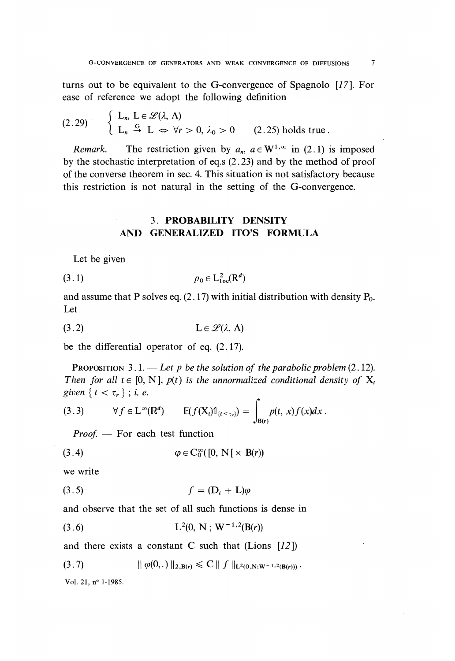turns out to be equivalent to the G-convergence of Spagnolo [17]. For ease of reference we adopt the following definition

$$
(2.29) \qquad \left\{ \begin{array}{ll} L_n, \ L \in \mathcal{L}(\lambda, \Lambda) \\ L_n \stackrel{G}{\to} L \Leftrightarrow \forall r > 0, \ \lambda_0 > 0 \end{array} \right. \qquad (2.25) \text{ holds true.}
$$

Remark. — The restriction given by  $a_n$ ,  $a \in W^{1,\infty}$  in (2.1) is imposed by the stochastic interpretation of eq.s (2.23) and by the method of proof of the converse theorem in sec. 4. This situation is not satisfactory because this restriction is not natural in the setting of the G-convergence.

## . 3. PROBABILITY DENSITY AND GENERALIZED ITO'S FORMULA

Let be given

 $p_0 \in L^2_{loc}(\mathbb{R}^d)$  $(3.1)$ 

and assume that P solves eq.  $(2.17)$  with initial distribution with density  $P_0$ . Let

be the differential operator of eq. (2.17).

PROPOSITION 3.1. - Let p be the solution of the parabolic problem  $(2.12)$ . Then for all  $t \in [0, N]$ ,  $p(t)$  is the unnormalized conditional density of  $X_t$ given  ${t < \tau_r }$ ; i. e.

(3.3) 
$$
\forall f \in L^{\infty}(\mathbb{R}^d) \qquad \mathbb{E}(f(\mathbf{X}_t) \mathbb{1}_{\{t \leq \tau_r\}}) = \int_{\mathbf{B}(r)} p(t, x) f(x) dx.
$$

Proof. - For each test function

$$
(3.4) \qquad \qquad \varphi \in C_0^{\infty}([0, N[ \times B(r))
$$

we write

$$
(3.5) \t\t f = (D_t + L)\varphi
$$

and observe that the set of all such functions is dense in

$$
(3.6) \t\t\t L2(0, N; W-1,2(B(r))
$$

and there exists a constant C such that  $(Lions [12])$ 

$$
(3.7) \t\t || \varphi(0,.) ||_{2,\mathbf{B}(\mathbf{r})} \leq C || f ||_{\mathbf{L}^{2}(0,\mathbf{N};\mathbf{W}^{-1,2}(\mathbf{B}(\mathbf{r})))}.
$$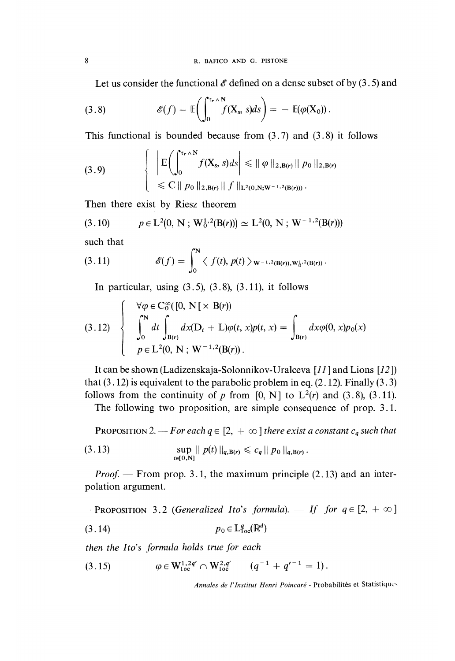Let us consider the functional  $\mathscr E$  defined on a dense subset of by (3.5) and

(3.8) 
$$
\mathscr{E}(f) = \mathbb{E}\bigg(\int_0^{\tau_r \wedge N} f(X_s, s) ds\bigg) = - \mathbb{E}(\varphi(X_0)).
$$

This functional is bounded because from  $(3.7)$  and  $(3.8)$  it follows

(3.9) 
$$
\left\{\begin{array}{l}\left|E\left(\int_{0}^{\tau_{r}\wedge N}f(X_{s}, s)ds\right|\leq \|\varphi\|_{2, B(r)}\|p_{0}\|_{2, B(r)}\right)\\ \leq C\|p_{0}\|_{2, B(r)}\|f\|_{L^{2}(0, N; W^{-1,2}(B(r)))}.\end{array}\right.
$$

Then there exist by Riesz theorem

$$
(3.10) \t p \in L^{2}(0, N; W_{0}^{1,2}(B(r))) \simeq L^{2}(0, N; W^{-1,2}(B(r)))
$$

such that

(3.11) 
$$
\mathscr{E}(f) = \int_0^N \langle f(t), p(t) \rangle_{W^{-1,2}(B(r)), W_0^{1,2}(B(r))}.
$$

In particular, using  $(3.5)$ ,  $(3.8)$ ,  $(3.11)$ , it follows

$$
(3.12) \begin{cases} \forall \varphi \in C_0^{\infty}([0, N[ \times B(r)) \\ \int_0^N dt \int_{B(r)} dx(D_t + L)\varphi(t, x)p(t, x) = \int_{B(r)} dx \varphi(0, x)p_0(x) \\ p \in L^2(0, N; W^{-1,2}(B(r)). \end{cases}
$$

It can be shown (Ladizenskaja-Solonnikov-Uralceva [77 ] and Lions [12 ]) that  $(3.12)$  is equivalent to the parabolic problem in eq.  $(2.12)$ . Finally  $(3.3)$ follows from the continuity of p from [0, N] to  $L^2(r)$  and (3.8), (3.11).

The following two proposition, are simple consequence of prop. 3.1.

PROPOSITION 2. - For each  $q \in [2, +\infty]$  there exist a constant  $c_q$  such that

(3.13) 
$$
\sup_{t \in [0, N]} \| p(t) \|_{q, B(r)} \leq c_q \| p_0 \|_{q, B(r)}.
$$

*Proof.*  $-$  From prop. 3.1, the maximum principle (2.13) and an interpolation argument.

**PROPOSITION** 3.2 (Generalized Ito's formula).  $\qquad$  If for  $q \in [2, +\infty]$  $p_0 \in L^q_{loc}(\mathbb{R}^d)$  $(3.14)$ 

then the Ito's formula holds true for each

(3.15) 
$$
\varphi \in W^{1,2q'}_{loc} \cap W^{2,q'}_{loc} \qquad (q^{-1} + q'^{-1} = 1).
$$

Annales de l'Institut Henri Poincaré - Probabilités et Statistiques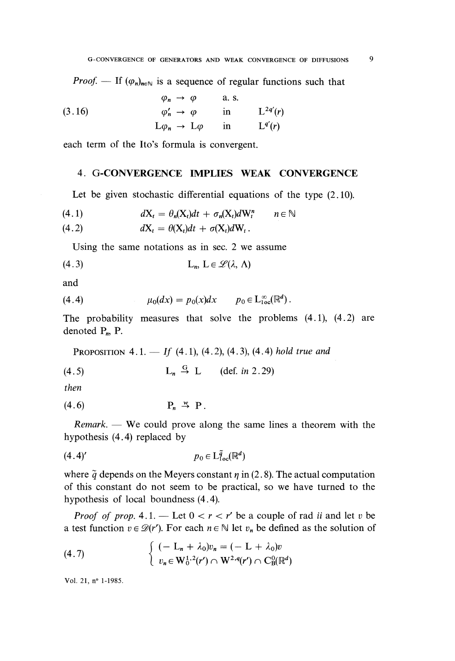*Proof.* — If  $(\varphi_n)_{n \in \mathbb{N}}$  is a sequence of regular functions such that

(3.16) 
$$
\begin{aligned}\n\varphi_n &\to \varphi &\text{a.s.} \\
\varphi'_n &\to \varphi &\text{in} &L^{2q'}(r) \\
L\varphi_n &\to L\varphi &\text{in} &L^{q'}(r)\n\end{aligned}
$$

each term of the Ito's formula is convergent.

## 4. G-CONVERGENCE IMPLIES WEAK CONVERGENCE

Let be given stochastic differential equations of the type  $(2.10)$ .

$$
(4.1) \t dX_t = \theta_n(X_t)dt + \sigma_n(X_t)dW_t^n \t n \in \mathbb{N}
$$

$$
(4.2) \t dX_t = \theta(X_t)dt + \sigma(X_t)dW_t.
$$

Using the same notations as in sec. 2 we assume

$$
L_n, L \in \mathscr{L}(\lambda, \Lambda)
$$

and

$$
(4.4) \t\t\t\t $\mu_0(dx) = p_0(x)dx \t\t\t\t\t p_0 \in L^{\infty}_{loc}(\mathbb{R}^d).$
$$

The probability measures that solve the problems (4.1), (4.2) are denoted  $P_n$ ,  $P$ .

PROPOSITION 4.1. — If 
$$
(4.1)
$$
,  $(4.2)$ ,  $(4.3)$ ,  $(4.4)$  hold true and

$$
(4.5) \t\t\t Ln \stackrel{G}{\rightarrow} L \t\t (def. in 2.29)
$$

then

$$
(4.6) \t\t\t\t\tP_n \stackrel{w}{\rightarrow} P.
$$

Remark. - We could prove along the same lines a theorem with the hypothesis (4.4) replaced by

$$
(4.4)'\qquad \qquad p_0 \in \mathcal{L}^{\tilde{q}}_{\text{loc}}(\mathbb{R}^d)
$$

where  $\tilde{q}$  depends on the Meyers constant  $\eta$  in (2.8). The actual computation of this constant do not seem to be practical, so we have turned to the hypothesis of local boundness (4.4).

*Proof of prop.* 4.1. — Let  $0 < r < r'$  be a couple of rad ii and let v be a test function  $v \in \mathcal{D}(r')$ . For each  $n \in \mathbb{N}$  let  $v_n$  be defined as the solution of

(4.7) 
$$
\begin{cases} (-L_n + \lambda_0) v_n = (-L + \lambda_0) v \\ v_n \in W_0^{1,2}(r') \cap W^{2,q}(r') \cap C_{\mathcal{B}}^0(\mathbb{R}^d) \end{cases}
$$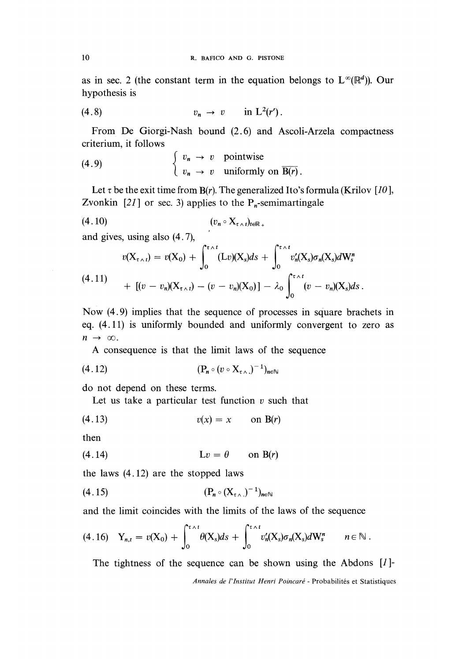as in sec. 2 (the constant term in the equation belongs to  $L^{\infty}(\mathbb{R}^d)$ ). Our hypothesis is

$$
(4.8) \t\t v_n \to v \t in L2(r').
$$

From De Giorgi-Nash bound (2.6) and Ascoli-Arzela compactness criterium, it follows

(4.9) 
$$
\begin{cases} v_n \to v \text{ pointwise} \\ v_n \to v \text{ uniformly on } \overline{B(r)} \end{cases}
$$

Let  $\tau$  be the exit time from B(r). The generalized Ito's formula (Krilov [10], Zvonkin [21] or sec. 3) applies to the  $P_n$ -semimartingale

and gives, using also (4. 7),

$$
v(X_{\tau \wedge t}) = v(X_0) + \int_0^{\tau \wedge t} (Lv)(X_s)ds + \int_0^{\tau \wedge t} v'_n(X_s)\sigma_n(X_s)dW_s^n
$$
  
(4.11)  

$$
+ [(v - v_n)(X_{\tau \wedge t}) - (v - v_n)(X_0)] - \lambda_0 \int_0^{\tau \wedge t} (v - v_n)(X_s)ds.
$$

Now (4.9) implies that the sequence of processes in square brachets in eq. (4 .11 ) is uniformly bounded and uniformly convergent to zero as  $n \rightarrow \infty$ .

A consequence is that the limit laws of the sequence

$$
(4.12) \qquad \qquad (\mathbf{P_n} \circ (v \circ \mathbf{X}_{\tau \wedge \cdot})^{-1})_{n \in \mathbb{N}}
$$

do not depend on these terms.

Let us take a particular test function  $v$  such that

$$
(4.13) \t\t v(x) = x \t on B(r)
$$

then

the laws (4.12) are the stopped laws

$$
(4.15) \qquad (\mathbf{P}_n \circ (\mathbf{X}_{\tau \wedge \cdot})^{-1})_{n \in \mathbb{N}}
$$

and the limit coincides with the limits of the laws of the sequence

$$
(4.16) \quad Y_{n,t} = v(X_0) + \int_0^{\tau \wedge t} \theta(X_s) ds + \int_0^{\tau \wedge t} v'_n(X_s) \sigma_n(X_s) dW_s^n \qquad n \in \mathbb{N}.
$$

The tightness of the sequence can be shown using the Abdons  $[I]$ -

Annales de l'Institut Henri Poincaré - Probabilités et Statistiques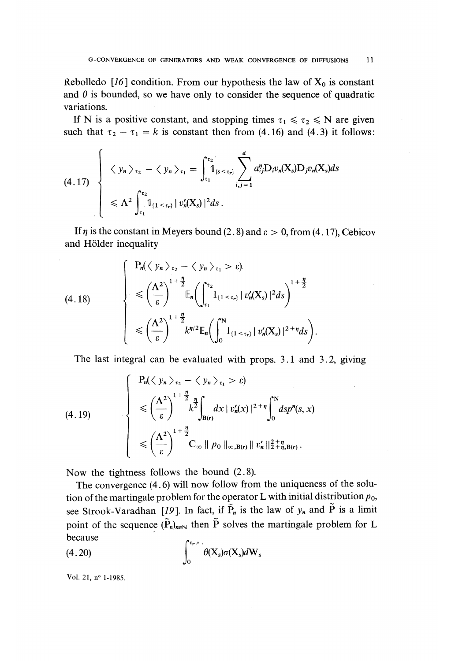Rebolledo [16] condition. From our hypothesis the law of  $X_0$  is constant and  $\theta$  is bounded, so we have only to consider the sequence of quadratic variations.

If N is a positive constant, and stopping times  $\tau_1 \leq \tau_2 \leq N$  are given such that  $\tau_2 - \tau_1 = k$  is constant then from (4.16) and (4.3) it follows:

$$
(4.17) \left\{\n\begin{array}{l}\n\langle y_n \rangle_{\tau_2} - \langle y_n \rangle_{\tau_1} = \int_{\tau_1}^{\tau_2} \mathbb{1}_{\{s < \tau_r\}} \sum_{i,j=1}^d a_{ij}^n D_i v_n(X_s) D_j v_n(X_s) ds \\
\leq \Lambda^2 \int_{\tau_1}^{\tau_2} \mathbb{1}_{\{1 < \tau_r\}} |v'_n(X_s)|^2 ds.\n\end{array}\n\right.
$$

If  $\eta$  is the constant in Meyers bound (2.8) and  $\varepsilon > 0$ , from (4.17), Cebicov and Hölder inequality

$$
(4.18)
$$
\n
$$
\begin{cases}\n\mathbf{P}_n(\langle y_n \rangle_{\tau_2} - \langle y_n \rangle_{\tau_1} > \varepsilon).\n\\ \n\leq \left(\frac{\Lambda^2}{\varepsilon}\right)^{1 + \frac{\eta}{2}} \mathbb{E}_n \bigg(\int_{\tau_1}^{\tau_2} \mathbf{1}_{\{1 < \tau_r\}} |v_n'(X_s)|^2 ds\bigg)^{1 + \frac{\eta}{2}} \\
\leq \left(\frac{\Lambda^2}{\varepsilon}\right)^{1 + \frac{\eta}{2}} k^{\eta/2} \mathbb{E}_n \bigg(\int_0^N \mathbf{1}_{\{1 < \tau_r\}} |v_n'(X_s)|^2 + \eta ds\bigg).\n\end{cases}
$$

The last integral can be evaluated with props. 3.1 and 3.2, giving

$$
(4.19)
$$
\n
$$
\begin{cases}\n\mathbf{P}_n(\langle y_n \rangle_{\tau_2} - \langle y_n \rangle_{\tau_1} > \varepsilon) \\
\leqslant \left(\frac{\Lambda^2}{\varepsilon}\right)^{1 + \frac{\eta}{2}} k^2 \int_{\mathbf{B}(r)} dx \, |v_n'(x)|^{2 + \eta} \int_0^N ds p^n(s, x) \\
\leqslant \left(\frac{\Lambda^2}{\varepsilon}\right)^{1 + \frac{\eta}{2}} \mathbf{C}_{\infty} \, ||p_0||_{\infty, \mathbf{B}(r)} \, ||v_n'||_2^2 + \eta, \mathbf{B}(r).
$$

Now the tightness follows the bound  $(2.8)$ .

The convergence (4.6) will now follow from the uniqueness of the solution of the martingale problem for the operator L with initial distribution  $p_0$ , see Strook-Varadhan [19]. In fact, if  $\tilde{P}_n$  is the law of  $y_n$  and  $\tilde{P}$  is a limit point of the sequence  $(\tilde{P}_n)_{n\in\mathbb{N}}$  then  $\tilde{P}$  solves the martingale problem for L because  $\mathcal{C}_{\tau}$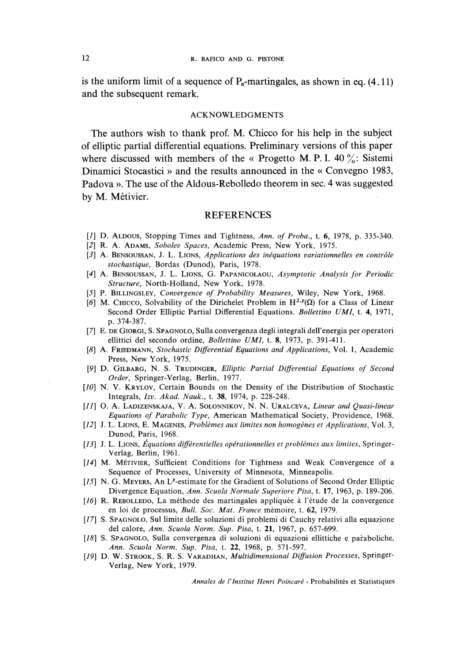is the uniform limit of a sequence of  $P_n$ -martingales, as shown in eq. (4.11) and the subsequent remark.

#### ACKNOWLEDGMENTS

The authors wish to thank prof. M. Chicco for his help in the subject of elliptic partial differential equations. Preliminary versions of this paper where discussed with members of the « Progetto M. P. I. 40  $\frac{\%}{\%}$ : Sistemi Dinamici Stocastici » and the results announced in the « Convegno 1983, Padova ». The use of the Aldous-Rebolledo theorem in sec. 4 was suggested by M. Métivier.

#### **REFERENCES**

- [1] D. ALDOUS, Stopping Times and Tightness, Ann. of Proba., t. 6, 1978, p. 335-340.
- [2] R. A. ADAMS, Sobolev Spaces, Academic Press, New York, 1975.
- [3] A. BENSOUSSAN, J. L. LIONS, Applications des inéquations variationnelles en contrôle stochastique, Bordas (Dunod), Paris, 1978.
- [4] A. BENSOUSSAN, J. L. LIONS, G. PAPANICOLAOU, Asymptotic Analysis for Periodic Structure, North-Holland, New York, 1978.
- [5] P. BILLINGSLEY, Convergence of Probability Measures, Wiley, New York, 1968.
- [6] M. CHICCO, Solvability of the Dirichelet Problem in  $H^{2,p}(\Omega)$  for a Class of Linear Second Order Elliptic Partial Differential Equations. Bollettino UMI, t. 4, 1971, p. 374-387.
- [7] E. DE GIORGI, S. SPAGNOLO, Sulla convergenza degli integrali dell'energia per operatori ellittici del secondo ordine, Bollettino UMI, t. 8, 1973, p. 391-411.
- [8] A. FRIEDMANN, Stochastic Differential Equations and Applications, Vol. 1, Academic Press, New York, 1975.
- [9] D. GILBARG, N. S. TRUDINGER, Elliptic Partial Differential Equations of Second Order, Springer-Verlag, Berlin, 1977.
- [10] N. V. KRYLOV, Certain Bounds on the Density of the Distribution of Stochastic Integrals, Izv. Akad. Nauk., t. 38, 1974, p. 228-248.
- [11] O. A. LADIZENSKAJA, V. A. SOLONNIKOV, N. N. URALCEVA, Linear and Quasi-linear Equations of Parabolic Type, American Mathematical Society, Providence, 1968.
- [12] J. L. LIONS, E. MAGENES, Problèmes aux limites non homogènes et Applications, Vol. 3, Dunod, Paris, 1968.
- [13] J. L. LIONS, Équations différentielles opérationnelles et problèmes aux limites, Springer-Verlag, Berlin, 1961.
- [14] M. MÉTIVIER, Sufficient Conditions for Tightness and Weak Convergence of a Sequence of Processes, University of Minnesota, Minneapolis.
- [15] N. G. MEYERS, An L<sup>p</sup>-estimate for the Gradient of Solutions of Second Order Elliptic Divergence Equation, Ann. Scuola Normale Superiore Pisa, t. 17, 1963, p. 189-206.
- [16] R. REBOLLEDO, La méthode des martingales appliquée à l'étude de la convergence en loi de processus, Bull. Soc. Mat. France mémoire, t. 62, 1979.
- [17] S. SPAGNOLO, Sul limite delle soluzioni di problemi di Cauchy relativi alla equazione del calore, Ann. Scuola Norm. Sup. Pisa, t. 21, 1967, p. 657-699.
- [18] S. SPAGNOLO, Sulla convergenza di soluzioni di equazioni ellittiche e paraboliche, Ann. Scuola Norm. Sup. Pisa, t. 22, 1968, p. 571-597.
- [19] D. W. STROOK, S. R. S. VARADHAN, Multidimensional Diffusion Processes, Springer-Verlag, New York, 1979.

Annales de l'lnstitut Henri Poincaré - Probabilités et Statistiques